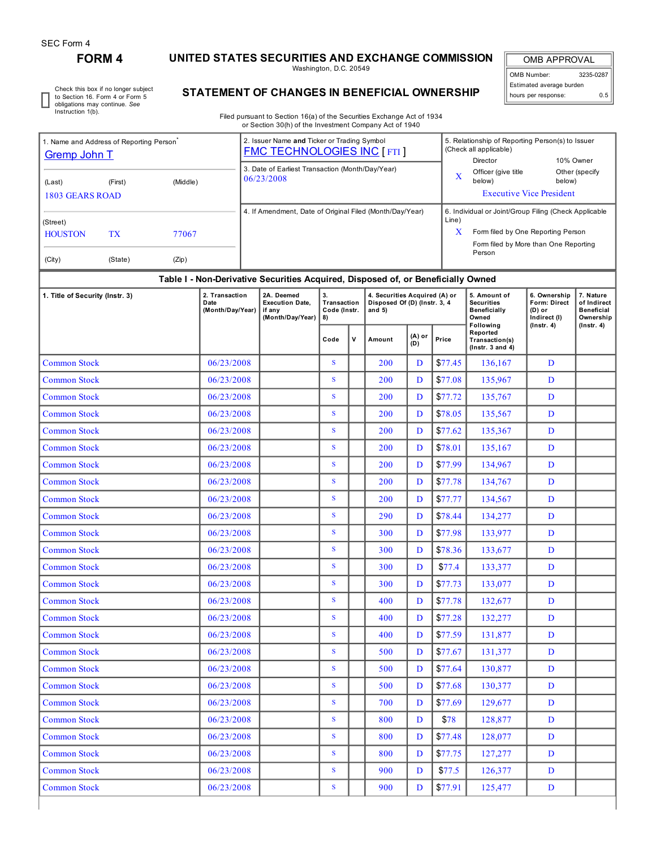I

# **FORM 4 UNITED STATES SECURITIES AND EXCHANGE COMMISSION**

Washington, D.C. 20549

OMB APPROVAL OMB Number: 3235-0287 Estimated average burden hours per response: 0.5

Check this box if no longer subject to Section 16. Form 4 or Form 5 obligations may continue. *See* Instruction 1(b).

# **STATEMENT OF CHANGES IN BENEFICIAL OWNERSHIP**

Filed pursuant to Section 16(a) of the Securities Exchange Act of 1934 or Section 30(h) of the Investment Company Act of 1940

| 1. Name and Address of Reporting Person <sup>®</sup><br><b>Gremp John T</b> |               |                | 2. Issuer Name and Ticker or Trading Symbol<br><b>FMC TECHNOLOGIES INC [FTI]</b> |                                                                                                                                                              | 5. Relationship of Reporting Person(s) to Issuer<br>(Check all applicable)<br>10% Owner<br>Director |                          |  |  |
|-----------------------------------------------------------------------------|---------------|----------------|----------------------------------------------------------------------------------|--------------------------------------------------------------------------------------------------------------------------------------------------------------|-----------------------------------------------------------------------------------------------------|--------------------------|--|--|
| (Middle)<br>(Last)<br>(First)<br>1803 GEARS ROAD                            |               |                | 3. Date of Earliest Transaction (Month/Day/Year)<br>06/23/2008                   | X                                                                                                                                                            | Officer (give title<br>below)<br><b>Executive Vice President</b>                                    | Other (specify<br>below) |  |  |
| (Street)<br><b>HOUSTON</b><br>(City)                                        | TX<br>(State) | 77067<br>(Zip) | 4. If Amendment, Date of Original Filed (Month/Day/Year)                         | 6. Individual or Joint/Group Filing (Check Applicable<br>Line)<br>X<br>Form filed by One Reporting Person<br>Form filed by More than One Reporting<br>Person |                                                                                                     |                          |  |  |

## **Table I - Non-Derivative Securities Acquired, Disposed of, or Beneficially Owned**

| 1. Title of Security (Instr. 3) | 2. Transaction<br>Date<br>(Month/Day/Year) | 2A. Deemed<br><b>Execution Date,</b><br>if any<br>(Month/Day/Year) | 3.<br>Transaction<br>Code (Instr.<br>8) |              | 4. Securities Acquired (A) or<br>Disposed Of (D) (Instr. 3, 4<br>and $5)$ |               |         | 5. Amount of<br><b>Securities</b><br>Beneficially<br>Owned<br><b>Following</b> | 6. Ownership<br>Form: Direct<br>$(D)$ or<br>Indirect (I)<br>$($ Instr. 4 $)$ | 7. Nature<br>of Indirect<br><b>Beneficial</b><br>Ownership |  |
|---------------------------------|--------------------------------------------|--------------------------------------------------------------------|-----------------------------------------|--------------|---------------------------------------------------------------------------|---------------|---------|--------------------------------------------------------------------------------|------------------------------------------------------------------------------|------------------------------------------------------------|--|
|                                 |                                            |                                                                    | Code                                    | $\mathsf{v}$ | Amount                                                                    | (A) or<br>(D) | Price   | Reported<br>Transaction(s)<br>$($ Instr. $3$ and $4)$                          |                                                                              | $($ Instr. 4 $)$                                           |  |
| <b>Common Stock</b>             | 06/23/2008                                 |                                                                    | S                                       |              | 200                                                                       | D             | \$77.45 | 136.167                                                                        | D                                                                            |                                                            |  |
| <b>Common Stock</b>             | 06/23/2008                                 |                                                                    | S                                       |              | 200                                                                       | D             | \$77.08 | 135,967                                                                        | D                                                                            |                                                            |  |
| <b>Common Stock</b>             | 06/23/2008                                 |                                                                    | S                                       |              | 200                                                                       | D             | \$77.72 | 135,767                                                                        | D                                                                            |                                                            |  |
| <b>Common Stock</b>             | 06/23/2008                                 |                                                                    | S                                       |              | 200                                                                       | D             | \$78.05 | 135,567                                                                        | D                                                                            |                                                            |  |
| <b>Common Stock</b>             | 06/23/2008                                 |                                                                    | S                                       |              | 200                                                                       | D             | \$77.62 | 135,367                                                                        | D                                                                            |                                                            |  |
| <b>Common Stock</b>             | 06/23/2008                                 |                                                                    | S                                       |              | 200                                                                       | D             | \$78.01 | 135,167                                                                        | D                                                                            |                                                            |  |
| <b>Common Stock</b>             | 06/23/2008                                 |                                                                    | $\mathbf S$                             |              | 200                                                                       | D             | \$77.99 | 134,967                                                                        | D                                                                            |                                                            |  |
| <b>Common Stock</b>             | 06/23/2008                                 |                                                                    | S                                       |              | 200                                                                       | D             | \$77.78 | 134,767                                                                        | D                                                                            |                                                            |  |
| <b>Common Stock</b>             | 06/23/2008                                 |                                                                    | S                                       |              | 200                                                                       | D             | \$77.77 | 134,567                                                                        | D                                                                            |                                                            |  |
| <b>Common Stock</b>             | 06/23/2008                                 |                                                                    | S                                       |              | 290                                                                       | D             | \$78.44 | 134,277                                                                        | D                                                                            |                                                            |  |
| <b>Common Stock</b>             | 06/23/2008                                 |                                                                    | S                                       |              | 300                                                                       | D             | \$77.98 | 133,977                                                                        | D                                                                            |                                                            |  |
| <b>Common Stock</b>             | 06/23/2008                                 |                                                                    | S                                       |              | 300                                                                       | D             | \$78.36 | 133,677                                                                        | D                                                                            |                                                            |  |
| <b>Common Stock</b>             | 06/23/2008                                 |                                                                    | S                                       |              | 300                                                                       | D             | \$77.4  | 133,377                                                                        | D                                                                            |                                                            |  |
| <b>Common Stock</b>             | 06/23/2008                                 |                                                                    | S                                       |              | 300                                                                       | D             | \$77.73 | 133,077                                                                        | D                                                                            |                                                            |  |
| <b>Common Stock</b>             | 06/23/2008                                 |                                                                    | ${\bf S}$                               |              | 400                                                                       | D             | \$77.78 | 132,677                                                                        | D                                                                            |                                                            |  |
| <b>Common Stock</b>             | 06/23/2008                                 |                                                                    | S                                       |              | 400                                                                       | D             | \$77.28 | 132,277                                                                        | D                                                                            |                                                            |  |
| <b>Common Stock</b>             | 06/23/2008                                 |                                                                    | S                                       |              | 400                                                                       | D             | \$77.59 | 131,877                                                                        | D                                                                            |                                                            |  |
| <b>Common Stock</b>             | 06/23/2008                                 |                                                                    | S                                       |              | 500                                                                       | D             | \$77.67 | 131,377                                                                        | D                                                                            |                                                            |  |
| <b>Common Stock</b>             | 06/23/2008                                 |                                                                    | S                                       |              | 500                                                                       | D             | \$77.64 | 130,877                                                                        | D                                                                            |                                                            |  |
| <b>Common Stock</b>             | 06/23/2008                                 |                                                                    | $\mathbf S$                             |              | 500                                                                       | D             | \$77.68 | 130,377                                                                        | D                                                                            |                                                            |  |
| <b>Common Stock</b>             | 06/23/2008                                 |                                                                    | S                                       |              | 700                                                                       | D             | \$77.69 | 129,677                                                                        | D                                                                            |                                                            |  |
| <b>Common Stock</b>             | 06/23/2008                                 |                                                                    | S                                       |              | 800                                                                       | D             | \$78    | 128,877                                                                        | D                                                                            |                                                            |  |
| <b>Common Stock</b>             | 06/23/2008                                 |                                                                    | S                                       |              | 800                                                                       | D             | \$77.48 | 128,077                                                                        | D                                                                            |                                                            |  |
| <b>Common Stock</b>             | 06/23/2008                                 |                                                                    | $\mathbf S$                             |              | 800                                                                       | D             | \$77.75 | 127,277                                                                        | D                                                                            |                                                            |  |
| <b>Common Stock</b>             | 06/23/2008                                 |                                                                    | S                                       |              | 900                                                                       | D             | \$77.5  | 126,377                                                                        | D                                                                            |                                                            |  |
| <b>Common Stock</b>             | 06/23/2008                                 |                                                                    | ${\bf S}$                               |              | 900                                                                       | D             | \$77.91 | 125,477                                                                        | D                                                                            |                                                            |  |